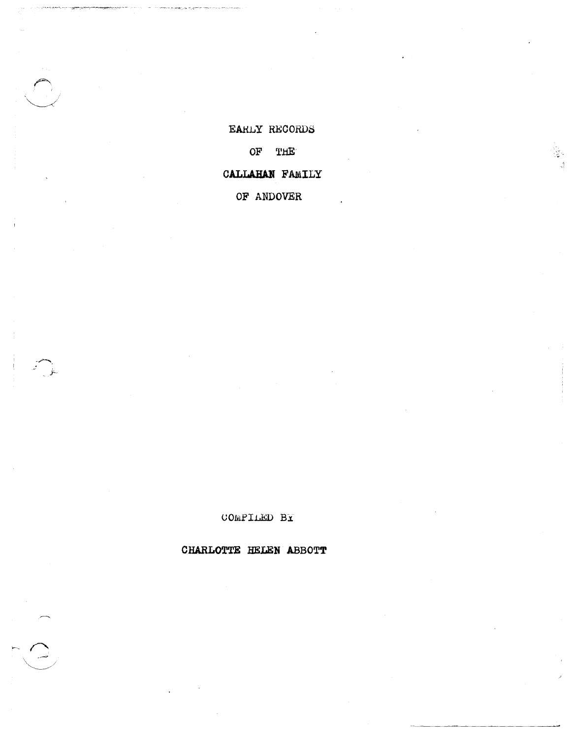CHARLOTTE HELEN ABBOTT

COMPILED BY

CALLAHAN FAMILY

OF ANDOVER

OF THE

EARLY RECORDS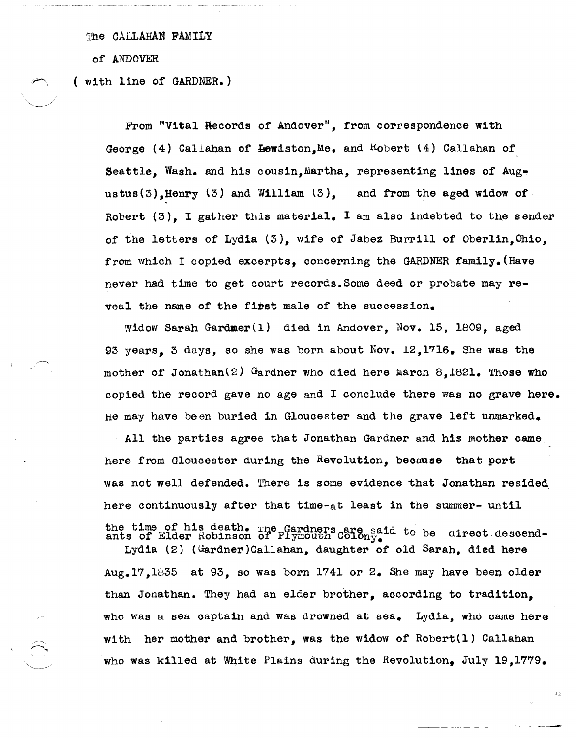The CALLAHAN FAMILY

of ANDOVER

( with line of GARDNER.)

From "Vital Records of Andover", from correspondence with George (4) Callahan of  $H$ ewiston,Me. and Robert (4) Callahan of Seattle, Wash. and his cousin, Martha, representing lines of Augustus(3), Henry  $(3)$  and William  $(3)$ , and from the aged widow of Robert  $(3)$ , I gather this material. I am also indebted to the sender of the letters of Lydia (3), wife of Jabez Burrill of Oberlin,Ohio, from which I copied excerpts, concerning the GARDNER family. (Have never had time to get court records.Some deed or probate may reveal the name of the fibst male of the succession.

Widow Sarah Gardmer(l) died in Andover, Nov. 15, 1809, aged 93 years, 3 days, so she was born about Nov. 12,1716. She was the mother of Jonathan $(2)$  Gardner who died here March 8.1821. Those who copied the record gave no age and I conclude there was no grave here. He may have been buried in Gloucester and the grave left unmarked.

All the parties agree that Jonathan Gardner and his mother came here from Gloucester during the Revolution, because that port was not well defended. There is some evidence that Jonathan resided. here continuously after that time-at least in the summer- until the time of his death. The Gardners are said to be airect descend-<br>ants of Elder Robinson of Plymouth Colony.

Lydia (2) (Gardner)Callahan, daughter of old Sarah, died here  $Aug.17.1835$  at 93, so was born 1741 or 2. She may have been older than Jonathan. They had an elder brother, according to tradition, who was a sea captain and was drowned at sea. Lydia, who came here with her mother and brother, was the widow of Robert(l) Callahan who was killed at White Plains during the Revolution, July 19,1779.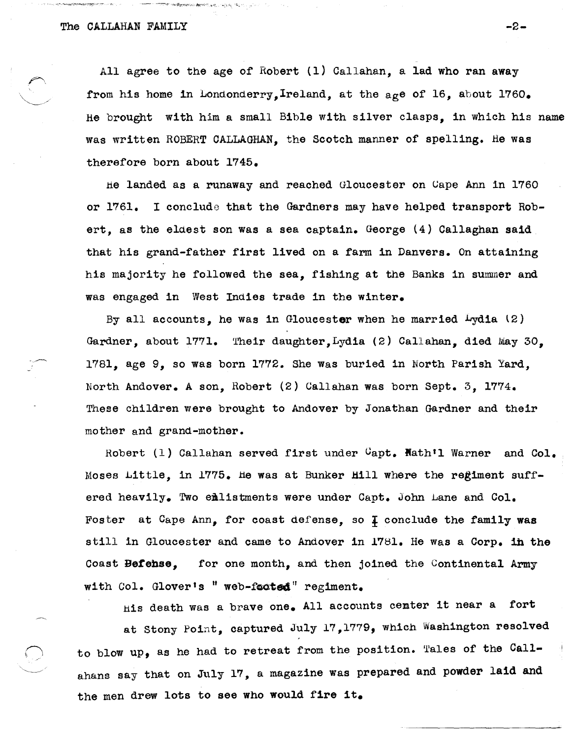ිය කර ගැන කිරීම කිරීම කිරීම සිද්ධ විද්යාලික විද්යාලය විද්යාලය කර ගැන විද්යාලය කර ගැන විද්යාලය කර ගැන කිරීම කිර

All agree to the age o£ Robert (1) Callahan, a lad who ran away from his home in Londonderry, Ireland, at the age of 16, about 1760. He brought with him a small Bible with silver clasps, in which his name was written ROBERT CALLAGHAN, the Scotch manner of spelling. He was therefore born about 1745.

he landed as a runaway and reached Gloucester on Gape Ann in 1760 or 1761. I conclude that the Gardners may have helped transport Robert, as the eldest son was a sea captain. George (4) Callaghan said that his grand-father first lived on a £arm in Danvers. On attaining his majority he followed the sea, fishing at the Banks in summer and was engaged in West Indies trade in the winter.

By all accounts, he was in Gloucester when he married  $Lydia$  (2) Gardner, about 1771. Their daughter, Lydia (2) Callahan, died May 30, 1781, age 9, so was born 1772. She Was buried in North Parish Yard, North Andover. A son, Robert (2) Callahan was born sept. 3, 1774. These Children were brought to Andover by Jonathan Gardner and their mother and grand-mother.

Robert  $(1)$  Callahan served first under  $C$ apt. Nath'l Warner and Col. Moses Little, in 1775. He was at Bunker Hill where the regiment suffered heavily. Two emlistments were under Capt. John Lane and Col. Foster at Cape Ann, for coast defense, so  $\overline{1}$  conclude the family was still in Gloucester and came to Andover in 1781. He was a Corp. in the Coast **Befehse,** for one month, and then joined the Continental Army with Col. Glover's " web-footed" regiment.

his death was a brave one. All accounts center it near a fort at Stony Point, captured July 17,1779, which Washington resolved to blow up, as he had to retreat from the position. Tales of the Callahans say that on July 17, a magazine was prepared and powder laid and the men drew lots to see who would fire it.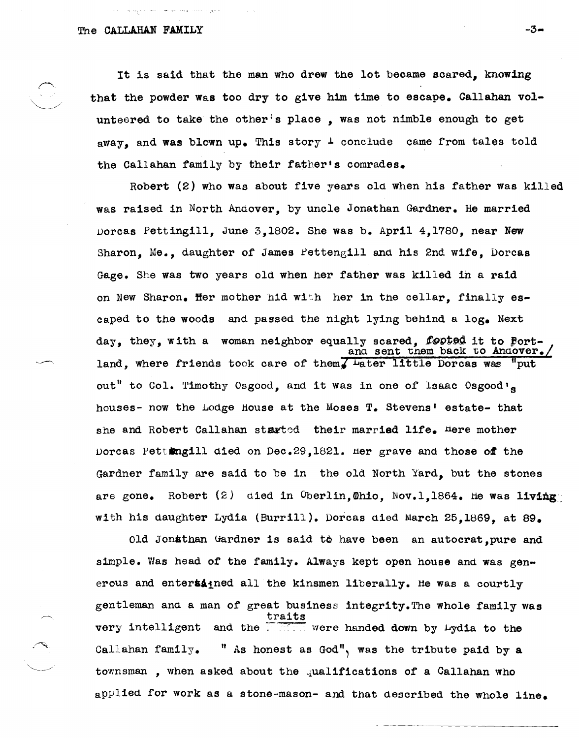gan m<del>an</del> mentan sekara n

It is said that the man who drew the lot became scared, knowing that the powder was too dry to give him time to escape. Callahan volunteered to take the other's place, was not nimble enough to get away, and was blown up. This story  $\perp$  conclude came from tales told the Callahan family by their father's comrades.

Robert (2) who was about five years old when his father was killed was raised in North Andover, by uncle Jonathan Gardner. He married Dorcas Pettingill, June 3,1802. She was b. April 4,1780, near New Sharon, Me., daughter of James Pettengill and his 2nd wife, Dorcas Gage. She was two years old when her father was killed in a raid on New Sharon. Her mother hid with her in the cellar, finally escaped to the woods and passed the night lying behind a log. Next day, they, with a woman neighbor equally scared, footed it to Portand sent them back to Andover. land, where friends took care of them Later little Dorcas was out" to Col. Timothy Osgood, and it was in one of Isaac Osgood's houses- now the Lodge House at the Moses T. Stevens' estate- that she and Robert Callahan started their married life. Here mother Dorcas pettingill died on Dec.29,1821. tier grave and those *ot* the Gardner family are said to be in the old North Yard, but the stones are gone. Robert  $(2)$  died in Oberlin, Ohio, Nov.1,1864. He was living with his daughter Lydia (Burrill). Dorcas died March 25,1869, at 89.

Old Jonathan uardner is said to have been an autocrat,pure and simple. Was head of the family. Always kept open house and was generous and entersagned all the kinsmen liberally. He was a courtly gentleman and a man of great business integrity.The whole family was traits very intelligent and the **: ...** were handed down by Lydia to the Callahan family. " As honest as God", was the tribute paid by a townsman, when asked about the qualifications of a Callahan who applied for work as a stone-mason- and that described the whole line.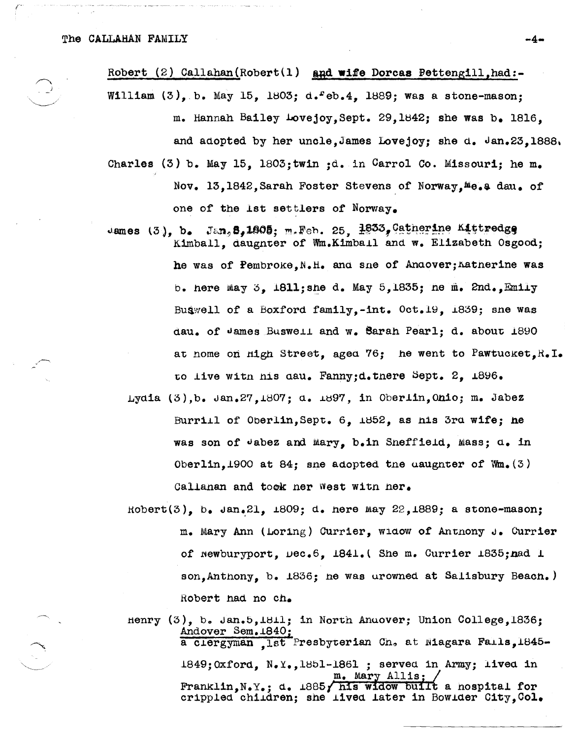Robert (2) Callahan (Robert (1) and wife Dorcas Pettengill, had:-William  $(3)$ , b. May 15, 1803; d.  $eb.4$ , 1889; was a stone-mason; m. Hannah Bailey Lovejoy. Sept. 29.1842: she was b. 1816. and adopted by her uncle, James Lovejoy; she d.  $\sqrt{an}23$ , 1888. Charles (3) b. May 15. 1803; twin : d. in Carrol Co. Missouri; he m. Nov. 13.1842. Sarah Foster Stevens of Norway.<sup>Me.</sup> a dau. of one of the 1st settlers of Norway.

- Jan, 8,1805; m. Feb. 25, 1833, Catherine Kittredge James  $(3)$ ,  $b_{\bullet}$ Kimball, daugnter of Wm.Kimball and w. Elizabeth Osgood: he was of Pembroke, N.H. and sne of Andover; Katherine was b. here may 3. 1811; she d. May 5.1835; he m. 2nd., Emily Buswell of a Boxford family,-int. Oct.19, 1839; sne was dau. of James Buswell and w. Sarah Pearl: d. about 1890 at nome on High Street, aged 76; he went to Pawtucket, R.I. to live with his day. Fanny:d.there Sept. 2. 1896.
	- Lydia (3), b. Jan. 27.1807: d. 1897, in Oberlin. Ohio; m. Jabez Burrill of Oberlin, Sept. 6, 1852, as his 3rd wife; he was son of Jabez and Mary, b.in Sneffield, Mass; d. in Oberlin, 1900 at 84; sne adopted the uaughter of  $W_m(3)$ Callanan and took ner West with her.
	- $Robert(3)$ , b,  $Jan.21$ ,  $1809$ ; d. nere may 22,  $1889$ ; a stone-mason; m. Mary Ann (Loring) Currier, widow of Antnony J. Currier of newburyport, Dec.6, 1841.(She m. Currier 1835; nad 1 son. Anthony. b. 1836: he was urowned at Salisbury Beach.) Robert had no ch.

Henry (3), b. Jan.5, 1811; in North Anuover; Union College, 1836: Andover Sem. 1840 a clergyman ,1st Presbyterian Ch. at Niagara Falls, 1845-1849; Oxford, N.Y., 1851-1861; served in Army; lived in Mary Allis; Franklin.N.Y.: d. 1885, his widow built a nospital for crippled children; she lived later in Bowlder City, Col.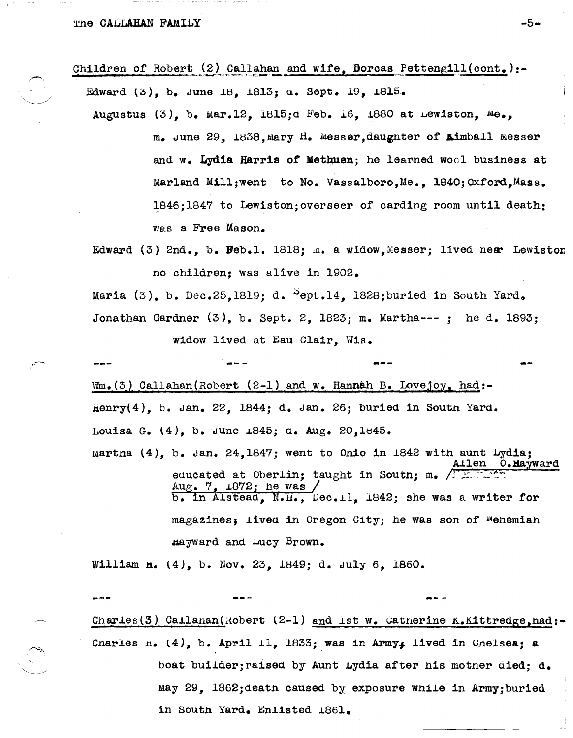| Edward $(3)$ , b. June 18, 1813; a. Sept. 19, 1815.                                                                                          |
|----------------------------------------------------------------------------------------------------------------------------------------------|
| Augustus $(3)$ , b. Mar.12, 1815; d Feb. 16, 1880 at Lewiston, Me.,                                                                          |
| m. June 29, 1838, Mary H. Messer, daughter of <b>Aimball Messer</b>                                                                          |
| and w. Lydia Harris of Methuen; he learned wool business at                                                                                  |
| Marland Mill; went to No. Vassalboro.Me., 1840; Oxford.Mass.                                                                                 |
| 1846;1847 to Lewiston; overseer of carding room until death:                                                                                 |
| was a Free Mason.                                                                                                                            |
| Edward $(3)$ 2nd., b. Beb.1. 1818; m. a widow, Messer; lived near Lewiston                                                                   |
| no children; was alive in 1902.                                                                                                              |
| Maria $(3)$ , b. Dec.25,1819; d. Sept.14, 1828; buried in South Yard.                                                                        |
| Jonathan Gardner $(3)$ , b. Sept. 2, 1823; m. Martha---; he d. 1893;                                                                         |
| widow lived at Eau Clair, Wis.                                                                                                               |
|                                                                                                                                              |
| $Wm_{\bullet}(3)$ Callahan (Robert (2-1) and w. Hannah B. Lovejoy, had:-                                                                     |
| $\texttt{Henry}(4)$ , b. Jan. 22, 1844; d. Jan. 26; buried in South Yard.                                                                    |
| Louisa G. $(4)$ , b. June 1845; d. Aug. 20, 1845.                                                                                            |
| martna $(4)$ , b. Jan. 24, 1847; went to Onio in 1842 with aunt Lydia;<br>0.Mayward<br>len                                                   |
| equeated at Oberlin; taught in South; m. $\sqrt{2\pi}$<br>Aug. $7, 1872$ ; he was<br>b. in Alstead, N.H., Dec.11, 1842; she was a writer for |
| magazines; lived in Oregon City; he was son of Wenemian                                                                                      |
| mayward and Lucy Brown.                                                                                                                      |
| William H. (4), b. Nov. 23, 1849; d. July 6, 1860.                                                                                           |

Children of Robert (2) Callahan and wife, Dorcas Pettengill(cont.):-

Charles(3) Callanan(Robert (2-1) and ist w. Catherine K.Kittredge, had:-Charles  $n_1$  (4), b. April 11, 1833; was in Army, lived in Chelsea; a boat builder; raised by Aunt Lydia after his mother died; d. May 29, 1862; death caused by exposure while in Army; buried in South Yard. Enlisted 1861.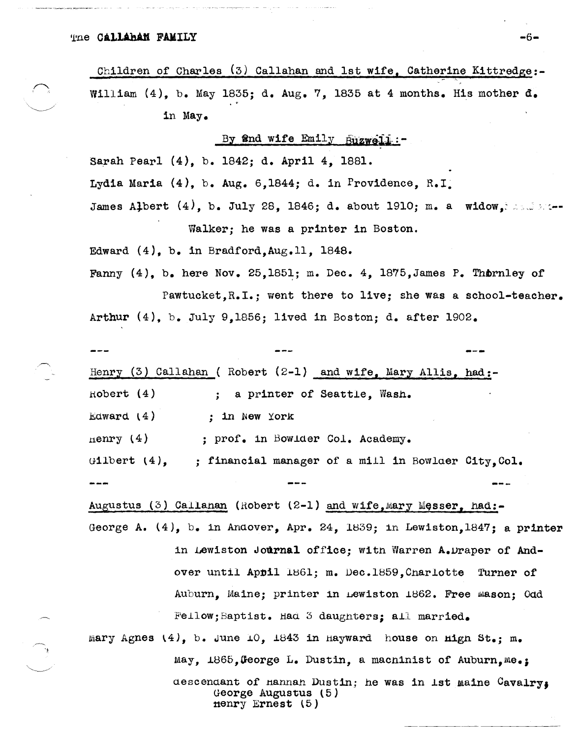The Callahan FAMILY

Children of Charles  $(3)$  Callahan and 1st wife, Catherine Kittredge:-William  $(4)$ , b. May 1835; d. Aug. 7, 1835 at 4 months. His mother  $d_e$ *• v*  in May.

By and wife Emily Buzweili:

Sarah Pearl (4), b. 1842; d. April 4, 1881.

Lydia Maria (4), b. Aug. 6,1844; d. in PrOVidence, R.I.

James Albert  $(4)$ , b. July 28, 1846; d. about 1910; m. a widow, instead Walker; he was a printer in Boston.

Edward  $(4)$ , b. in Bradford, Aug. 11, 1848.

Fanny  $(4)$ , b. here Nov. 25,1851; m. Dec. 4, 1875, James P. Thornley of Pawtucket.R.I.; went there to live; she was a school-teacher. Arthur  $(4)$ , b. July 9,1856; lived in Boston; d. after 1902.

Henry (3) Callahan ( Robert  $(2-1)$  and wife, Mary Allis, had:-Hobert (4) Edward  $(4)$  $n$ enry (4)  $G11bert ~(4)$ . . , a printer of Seattle, Wash • : in New York ; prof. in Bowlder Col. Academy. : financial manager of a mill in Bowlaer City.Col.

Augustus (3) Callanan (Robert  $(2-1)$  and wife, Mary Messer, had:-George A.  $(4)$ , b. in Anaover, Apr. 24, 1839; in Lewiston,1847; a printer

> in Lewiston Journal office; witn Warren A.Draper of Andover until Appil 1861; m. Dec.1859.Cnarlotte Turner of Auburn, Maine; printer in Lewiston 1862. Free Mason; Odd  $F$ ellow; Baptist. Had 3 daughters; all married.

mary Agnes  $(4)$ , b. June 10, 1843 in Hayward house on High St.; m. May, 1865, George L. Dustin, a macninist of Auburn, me.; descendant of Hannan Dustin; he was in 1st maine Cavalry, George Augustus (5) ttenry Ernest  $(5)$ 

**-6-**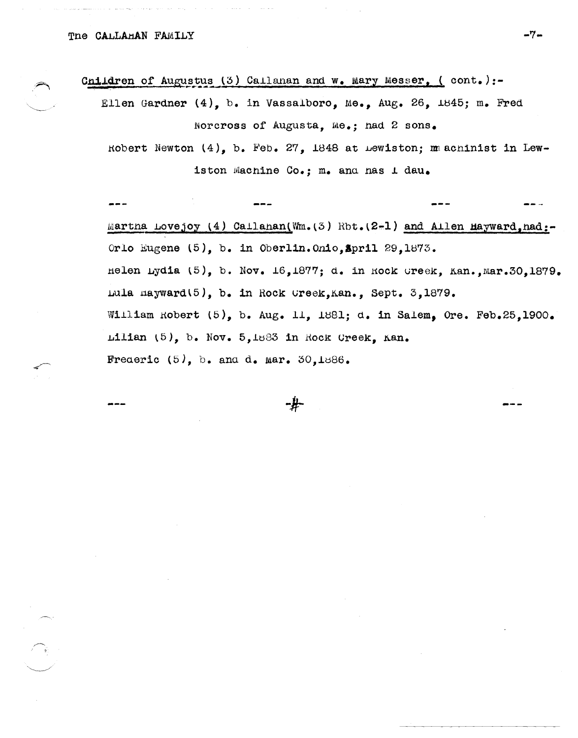Cnildren of Augustus (3) Callanan and w. Mary Messer, (cont.):-

Ellen Gardner (4), b. in Vassalboro, Me., Aug. 26, 1845; m. Fred Norcross of Augusta, Me.; had 2 sons.

Robert Newton (4), b. Feb. 27, 1848 at Lewiston; machinist in Lewiston Machine Co.; m. and has I dau.

Martna Lovejoy (4) Callanan(Wm. (3) Rbt. (2-1) and Allen Hayward, nad:-Orlo Eugene (5), b. in Oberlin. Onio, Spril 29, 1873. Helen Lydia (5), b. Nov.  $16,1877$ ; d. in Rock Greek, Kan., Mar. 30, 1879. Lula nayward(5), b. in Rock Creek, Kan., Sept. 3, 1879. William Robert (5), b. Aug. 11, 1881; d. in Salem, Ore. Feb.25,1900. Lilian (5), b. Nov. 5,1883 in Rock Creek, Kan. Frederic  $(5)$ , b. and d. mar. 30,1886.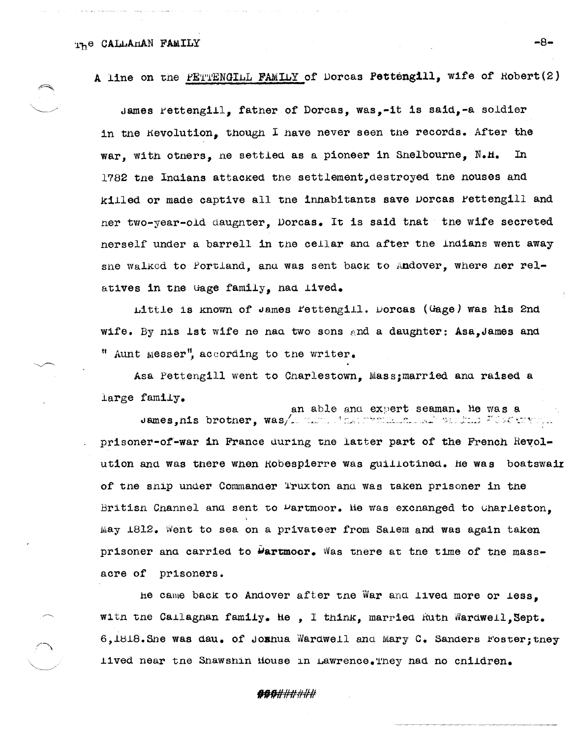A line on the PETTENGILL FAMILY of Dorcas Pettengill, wife of Robert(2)

James Pettengill, father of Dorcas, was,-it is said,-a soldier in the Revolution, though I have never seen the records. After the war, with otners, ne settled as a pioneer in Snelbourne, N.H.  $In$ 1782 the Indians attacked the settlement, destroyed the houses and killed or made captive all the inhabitants save Dorcas Pettengill and ner two-year-old daughter, Dorcas. It is said that the wife secreted nerself under a barrell in the cellar and after the Indians went away she walked to Portland, and was sent back to Andover, where her relatives in the Gage family, had lived.

Little is known of James Fettengill. Dorcas (Gage) was his 2nd wife. By nis lst wife ne nad two sons and a daughter: Asa, James and " Aunt messer", according to the writer.

Asa Pettengill went to Charlestown, Mass; married and raised a large family.

an able and expert seaman. He was a James, nis brotner, was/imman stamphalm and walking Westerwin prisoner-of-war in France during the latter part of the French Revolution and was there when Robespierre was guillotined. He was boatswair of the ship under Commander Truxton and was taken prisoner in the Britisn Cnannel and sent to  $\mu$ artmoor. He was excnanged to Charleston. May 1812. Went to sea on a privateer from Salem and was again taken prisoner and carried to **Partmoor.** Was there at the time of the massacre of prisoners.

he came back to Andover after the War and lived more or less. with the Callagnan family. He, I think, married Ruth Wardwell, Sept. 6,1818. She was dau. of Jozhua Wardwell and Mary C. Sanders Foster; they lived near the Shawshin House in Lawrence. They had no children.

## **ABA**######

-8-